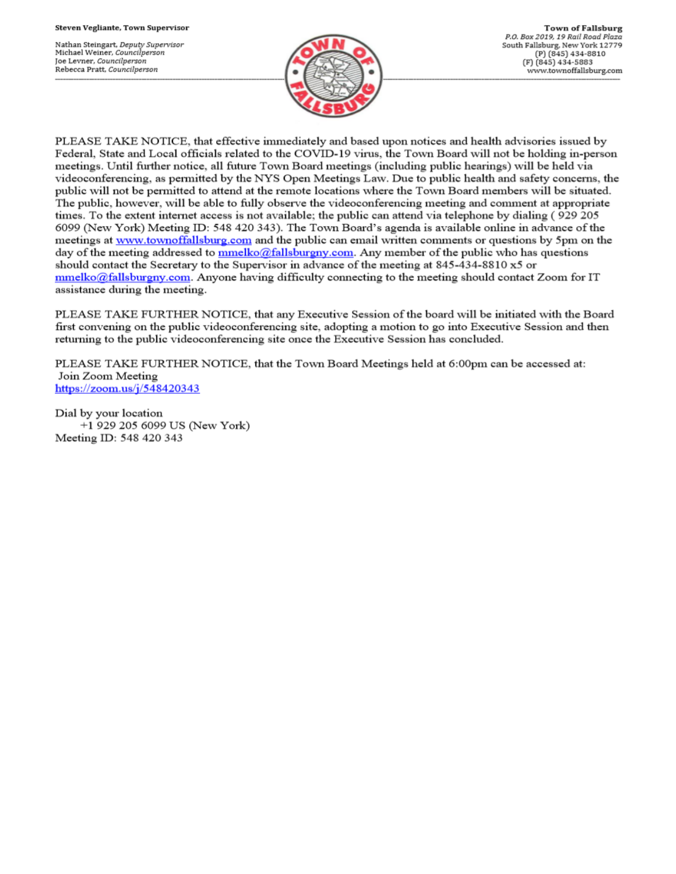Nathan Steingart, Deputy Supervisor Michael Weiner, Councilperson Joe Levner, Councilperson Rebecca Pratt, Councilperson



PLEASE TAKE NOTICE, that effective immediately and based upon notices and health advisories issued by Federal, State and Local officials related to the COVID-19 virus, the Town Board will not be holding in-person meetings. Until further notice, all future Town Board meetings (including public hearings) will be held via videoconferencing, as permitted by the NYS Open Meetings Law. Due to public health and safety concerns, the public will not be permitted to attend at the remote locations where the Town Board members will be situated. The public, however, will be able to fully observe the videoconferencing meeting and comment at appropriate times. To the extent internet access is not available; the public can attend via telephone by dialing (929 205 6099 (New York) Meeting ID: 548 420 343). The Town Board's agenda is available online in advance of the meetings at www.townoffallsburg.com and the public can email written comments or questions by 5pm on the day of the meeting addressed to  $\frac{mmelko@fallsburgny.com}{mclubluygny.com}$ . Any member of the public who has questions should contact the Secretary to the Supervisor in advance of the meeting at 845-434-8810 x5 or  $mmelko@fallsburgny.com$ . Anyone having difficulty connecting to the meeting should contact Zoom for IT assistance during the meeting.

PLEASE TAKE FURTHER NOTICE, that any Executive Session of the board will be initiated with the Board first convening on the public videoconferencing site, adopting a motion to go into Executive Session and then returning to the public videoconferencing site once the Executive Session has concluded.

PLEASE TAKE FURTHER NOTICE, that the Town Board Meetings held at 6:00pm can be accessed at: Join Zoom Meeting https://zoom.us/j/548420343

Dial by your location +1 929 205 6099 US (New York) Meeting ID: 548 420 343